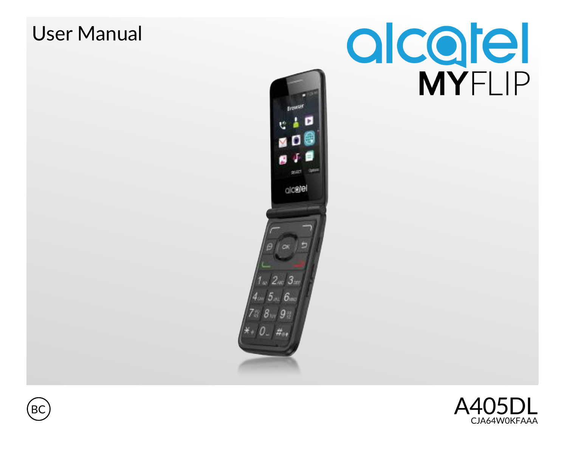



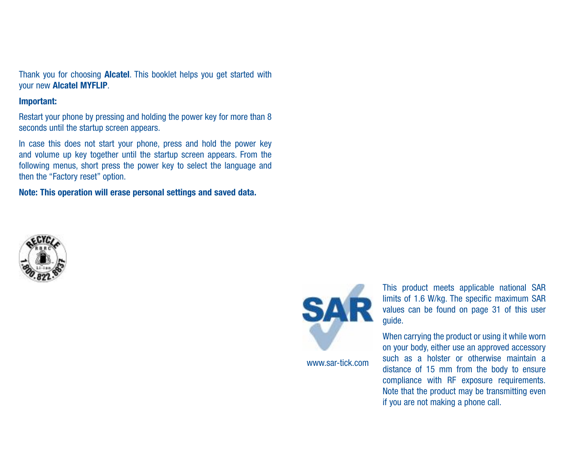Thank you for choosing Alcatel. This booklet helps you get started with your new Alcatel MYFLIP.

#### Important:

Restart your phone by pressing and holding the power key for more than 8 seconds until the startup screen appears.

In case this does not start your phone, press and hold the power key and volume up key together until the startup screen appears. From the following menus, short press the power key to select the language and then the "Factory reset" option.

Note: This operation will erase personal settings and saved data.





www.sar-tick.com

This product meets applicable national SAR limits of 1.6 W/kg. The specific maximum SAR values can be found on page 31 of this user guide.

When carrying the product or using it while worn on your body, either use an approved accessory such as a holster or otherwise maintain a distance of 15 mm from the body to ensure compliance with RF exposure requirements. Note that the product may be transmitting even if you are not making a phone call.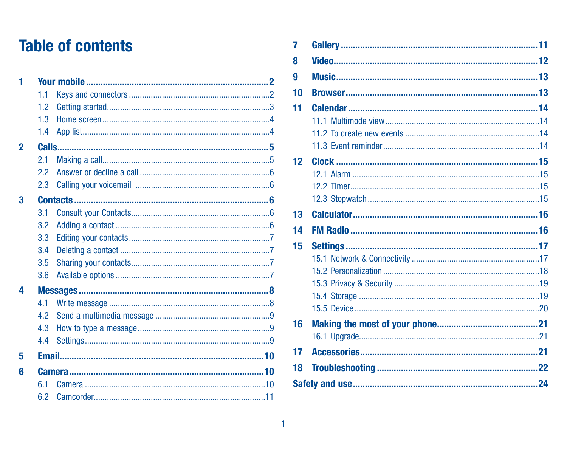## **Table of contents**

| 1                        |     | ч |                 | MUSI              |
|--------------------------|-----|---|-----------------|-------------------|
|                          | 11  |   | 10              | <b>Brow</b>       |
|                          | 1.2 |   | 11              | <b>Caler</b>      |
|                          | 1.3 |   |                 | 11.1              |
|                          | 1.4 |   |                 | 11.2 <sup>1</sup> |
| $\overline{\phantom{a}}$ |     |   |                 | 11.3              |
|                          | 2.1 |   | 12 <sup>°</sup> | <b>Clock</b>      |
|                          | 22  |   |                 | 12.1              |
|                          | 2.3 |   |                 | 12.2              |
| з                        |     |   |                 | 12.3              |
|                          | 3.1 |   | 13              | Calcu             |
|                          | 3.2 |   | 14              | <b>FMR</b>        |
|                          | 3.3 |   |                 |                   |
|                          | 3.4 |   | 15              | <b>Settin</b>     |
|                          | 3.5 |   |                 | 15.1              |
|                          | 3.6 |   |                 | 15.2              |
| Δ                        |     |   |                 | 15.3              |
|                          | 41  |   |                 | 15.4              |
|                          | 4.2 |   |                 | 15.5              |
|                          | 4.3 |   | 16              | <b>Maki</b>       |
|                          | 4.4 |   |                 | 16.1              |
| 5                        |     |   | 17              | Acce              |
| ĥ                        |     |   | 18              | <b>Trout</b>      |
|                          | 61  |   |                 | Safety and        |
|                          | 6.2 |   |                 |                   |

|            | 7               |  |
|------------|-----------------|--|
|            | 8               |  |
| 2          | g               |  |
| $\cdots$ 2 | 10              |  |
| . 3        | 11              |  |
| . 4        |                 |  |
| . 4        |                 |  |
| 5          |                 |  |
| . 5        | 12 <sub>2</sub> |  |
| . 6        |                 |  |
| . 6        |                 |  |
| 6          |                 |  |
| . 6        | 13              |  |
| . 6        | 14              |  |
| . 7<br>7   | 15              |  |
| . 7        |                 |  |
| 7          |                 |  |
|            |                 |  |
| 8          |                 |  |
| . 8<br>. 9 |                 |  |
| . 9        | 16              |  |
| . 9        |                 |  |
| 10         | 17              |  |
|            |                 |  |
|            | 18              |  |
| 10<br>10   |                 |  |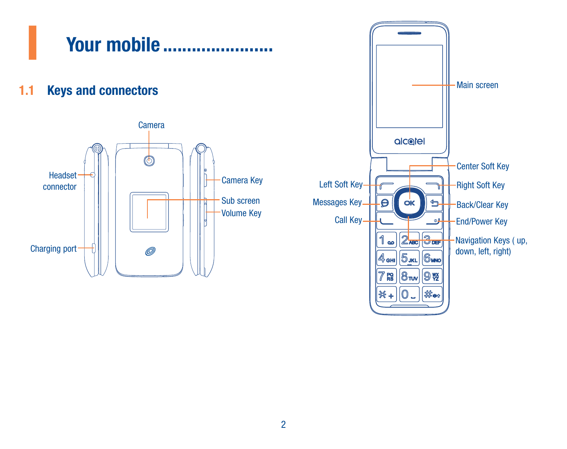<span id="page-3-0"></span>

1.1 Keys and connectors



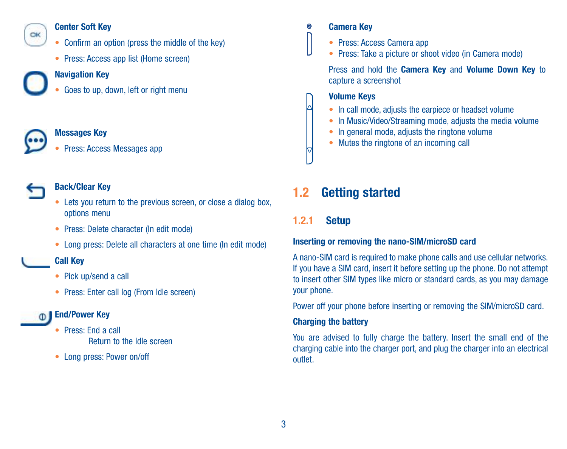## <span id="page-4-0"></span> $C<sub>K</sub>$

#### Center Soft Key

- • Confirm an option (press the middle of the key)
- Press: Access ann list (Home screen)

#### Navigation Key

Goes to up, down, left or right menu



#### Messages Key

Press: Access Messages app



#### Back/Clear Key

- Lets you return to the previous screen, or close a dialog box, options menu
- • Press: Delete character (In edit mode)
- Long press: Delete all characters at one time (In edit mode)

#### Call Key

- • Pick up/send a call
- Press: Enter call log (From Idle screen)

#### **<b>
■** End/Power Key

- • Press: End a call Return to the Idle screen
- • Long press: Power on/off

#### Camera Key

- • Press: Access Camera app
- Press: Take a picture or shoot video (in Camera mode)

Press and hold the Camera Key and Volume Down Key to capture a screenshot

#### Volume Keys

- In call mode, adjusts the earpiece or headset volume
- In Music/Video/Streaming mode, adjusts the media volume
- In general mode, adjusts the ringtone volume
- Mutes the ringtone of an incoming call

## 1.2 Getting started

## 1.2.1 Setup

#### Inserting or removing the nano-SIM/microSD card

A nano-SIM card is required to make phone calls and use cellular networks. If you have a SIM card, insert it before setting up the phone. Do not attempt to insert other SIM types like micro or standard cards, as you may damage your phone.

Power off your phone before inserting or removing the SIM/microSD card.

#### **Charging the battery**

You are advised to fully charge the battery. Insert the small end of the charging cable into the charger port, and plug the charger into an electrical outlet.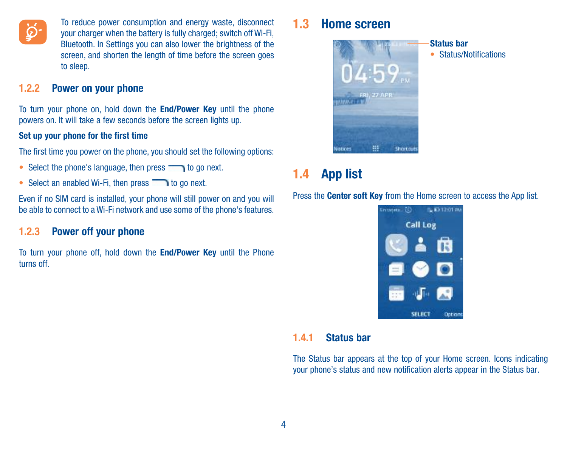<span id="page-5-0"></span>

To reduce power consumption and energy waste, disconnect your charger when the battery is fully charged; switch off Wi-Fi, Bluetooth. In Settings you can also lower the brightness of the screen, and shorten the length of time before the screen goes to sleep.

#### 1.2.2 Power on your phone

To turn your phone on, hold down the End/Power Key until the phone powers on. It will take a few seconds before the screen lights up.

#### Set up your phone for the first time

The first time you power on the phone, you should set the following options:

- Select the phone's language, then press to go next.
- Select an enabled Wi-Fi, then press  $\Box$  to go next.

Even if no SIM card is installed, your phone will still power on and you will be able to connect to a Wi-Fi network and use some of the phone's features.

#### 1.2.3 Power off your phone

To turn your phone off, hold down the End/Power Key until the Phone turns off.

## 1.3 Home screen



## Status bar

• Status/Notifications

## 1.4 App list

Press the Center soft Key from the Home screen to access the App list.



#### 1.4.1 Status bar

The Status bar appears at the top of your Home screen. Icons indicating your phone's status and new notification alerts appear in the Status bar.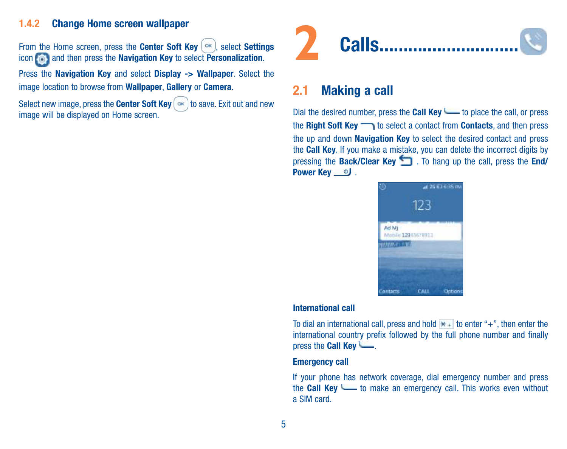#### <span id="page-6-0"></span>1.4.2 Change Home screen wallpaper

From the Home screen, press the Center Soft Key  $\left( \infty \right)$  select Settings icon **and then press the Navigation Key to select Personalization**.

Press the Navigation Key and select Display -> Wallpaper. Select the image location to browse from Wallpaper, Gallery or Camera.

Select new image, press the Center Soft Key  $\int$  ok to save. Exit out and new image will be displayed on Home screen.



### 2.1 Making a call

Dial the desired number, press the Call Key to place the call, or press the Right Soft Key to select a contact from Contacts, and then press the up and down Navigation Key to select the desired contact and press the **Call Key**. If you make a mistake, you can delete the incorrect digits by pressing the Back/Clear Key . To hang up the call, press the End/ Power Key **D**.



#### International call

To dial an international call, press and hold  $\star$  + to enter "+", then enter the international country prefix followed by the full phone number and finally press the Call Key

#### Emergency call

If your phone has network coverage, dial emergency number and press the Call Key to make an emergency call. This works even without a SIM card.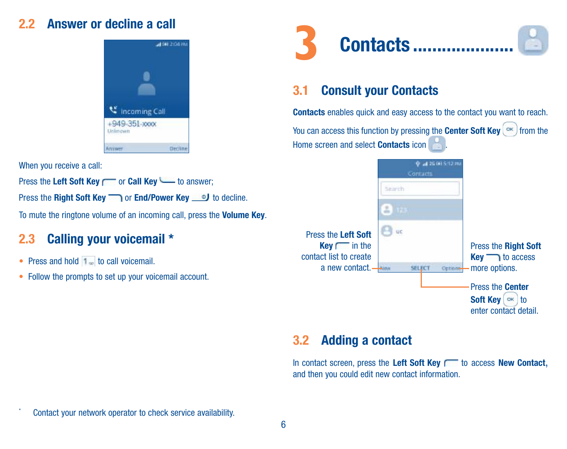## <span id="page-7-0"></span>2.2 Answer or decline a call



When you receive a call:

Press the Left Soft Key read Key Left Soft Key to answer:

Press the Right Soft Key or End/Power Key J to decline.

To mute the ringtone volume of an incoming call, press the Volume Key.

## 2.3 Calling your voicemail \*

- Press and hold 1 to call voicemail.
- Follow the prompts to set up your voicemail account.



## 3.1 Consult your Contacts

Contacts enables quick and easy access to the contact you want to reach.

You can access this function by pressing the Center Soft Key  $(\infty)$  from the Home screen and select Contacts icon .



## 3.2 Adding a contact

In contact screen, press the Left Soft Key  $f$  to access New Contact, and then you could edit new contact information.

Contact your network operator to check service availability.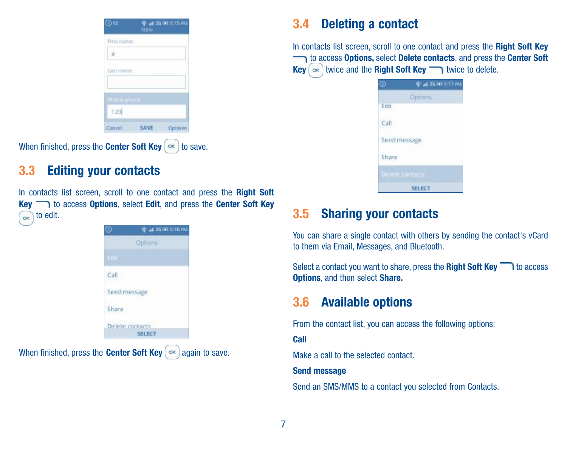<span id="page-8-0"></span>

| ි) 12                | New | <b>P at 26 (6) 5:15 mm</b> |
|----------------------|-----|----------------------------|
| Fina namie           |     |                            |
|                      |     |                            |
| <b>CANTON BUYER</b>  |     |                            |
|                      |     |                            |
| <b>Mielle plus e</b> |     |                            |
| 123                  |     |                            |
|                      |     |                            |

When finished, press the **Center Soft Key**  $(\infty)$  to save.

## 3.3 Editing your contacts

In contacts list screen, scroll to one contact and press the Right Soft Key **to access Options**, select Edit, and press the Center Soft Key  $\sqrt{\alpha}$  to edit.



When finished, press the Center Soft Key  $\infty$  again to save.

## 3.4 Deleting a contact

In contacts list screen, scroll to one contact and press the Right Soft Key to access Options, select Delete contacts, and press the Center Soft  $Kev$   $\left( \infty \right)$  twice and the Right Soft  $Kev$   $\longrightarrow$  twice to delete.

| Ď.                  | 0 at 25 (6) 5:17 mi |
|---------------------|---------------------|
|                     | Options             |
| Edit                |                     |
| Call                |                     |
| Send message        |                     |
| Share               |                     |
| <b>Delete Longu</b> |                     |
|                     | <b>SELECT</b>       |

## 3.5 Sharing your contacts

You can share a single contact with others by sending the contact's vCard to them via Email, Messages, and Bluetooth.

Select a contact you want to share, press the Right Soft Key to access Options, and then select Share.

## 3.6 Available options

From the contact list, you can access the following options:

Call

Make a call to the selected contact.

#### Send message

Send an SMS/MMS to a contact you selected from Contacts.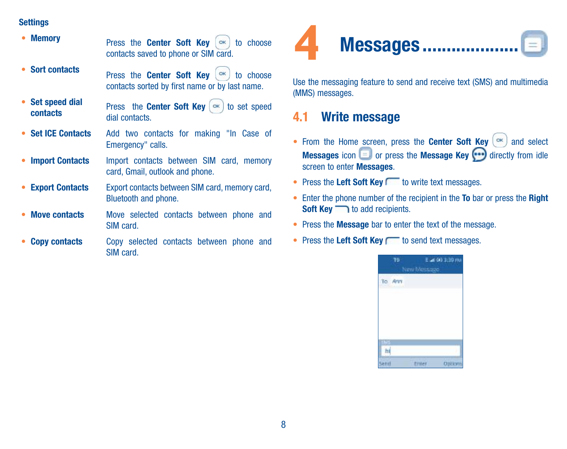#### <span id="page-9-0"></span>**Settings**

| <b>Memory</b>                | Press the Center Soft Key<br>to choose<br>CK<br>contacts saved to phone or SIM card.           |
|------------------------------|------------------------------------------------------------------------------------------------|
| • Sort contacts              | CK<br>Press the Center Soft Key<br>to choose<br>contacts sorted by first name or by last name. |
| • Set speed dial<br>contacts | Press the <b>Center Soft Key</b> $(\infty)$ to set speed<br>dial contacts.                     |
| • Set ICE Contacts           | Add two contacts for making "In Case of<br>Emergency" calls.                                   |
| • Import Contacts            | Import contacts between SIM card, memory<br>card, Gmail, outlook and phone.                    |
| <b>Export Contacts</b><br>٠  | Export contacts between SIM card, memory card.<br>Bluetooth and phone.                         |
| <b>Move contacts</b><br>٠    | Move selected contacts between phone and<br>SIM card.                                          |
| <b>Copy contacts</b>         | Copy selected contacts between phone and<br>SIM card.                                          |



Use the messaging feature to send and receive text (SMS) and multimedia (MMS) messages.

## 4.1 Write message

- From the Home screen, press the **Center Soft Key**  $(\infty)$  and select Messages icon  $\blacksquare$  or press the Message Key  $\footnotesize \bigodot$  directly from idle screen to enter **Messages**.
- Press the Left Soft Key to write text messages.
- Enter the phone number of the recipient in the To bar or press the Right  $Soft Key \longrightarrow to add recipients.$
- Press the Message bar to enter the text of the message.
- Press the Left Soft Key reason text messages.

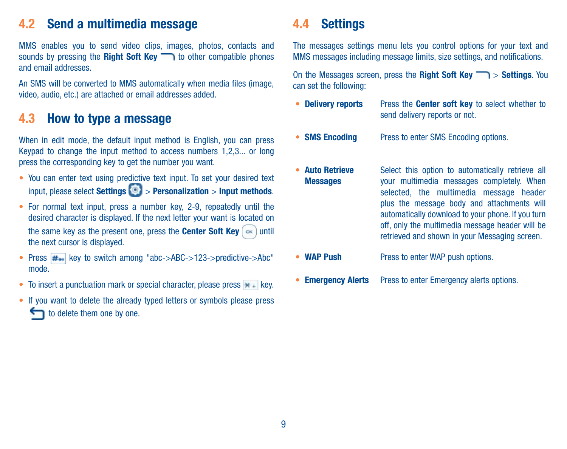## <span id="page-10-0"></span>4.2 Send a multimedia message

MMS enables you to send video clips, images, photos, contacts and sounds by pressing the **Right Soft Key**  $\Box$  to other compatible phones and email addresses.

An SMS will be converted to MMS automatically when media files (image) video, audio, etc.) are attached or email addresses added.

## 4.3 How to type a message

When in edit mode, the default input method is English, you can press Keypad to change the input method to access numbers 1,2,3... or long press the corresponding key to get the number you want.

- You can enter text using predictive text input. To set your desired text input, please select Settings  $\left( \circ \right)$  > Personalization > Input methods.
- For normal text input, press a number key, 2-9, repeatedly until the desired character is displayed. If the next letter your want is located on the same key as the present one, press the Center Soft Key  $\left[\infty\right]$  until the next cursor is displayed.
- Press  $H_{\text{max}}$  key to switch among "abc->ABC->123->predictive->Abc" mode.
- To insert a punctuation mark or special character, please press  $*$  + key.
- If you want to delete the already typed letters or symbols please press to delete them one by one.

## 4.4 Settings

The messages settings menu lets you control options for your text and MMS messages including message limits, size settings, and notifications.

On the Messages screen, press the Right Soft Key  $\Box$  > Settings. You can set the following:

- Delivery reports Press the Center soft key to select whether to send delivery reports or not.
- **SMS Encoding** Press to enter SMS Encoding options.
- • Auto Retrieve Messages

Select this option to automatically retrieve all your multimedia messages completely. When selected, the multimedia message header plus the message body and attachments will automatically download to your phone. If you turn off, only the multimedia message header will be retrieved and shown in your Messaging screen.

- WAP Push Press to enter WAP push options.
- Emergency Alerts Press to enter Emergency alerts options.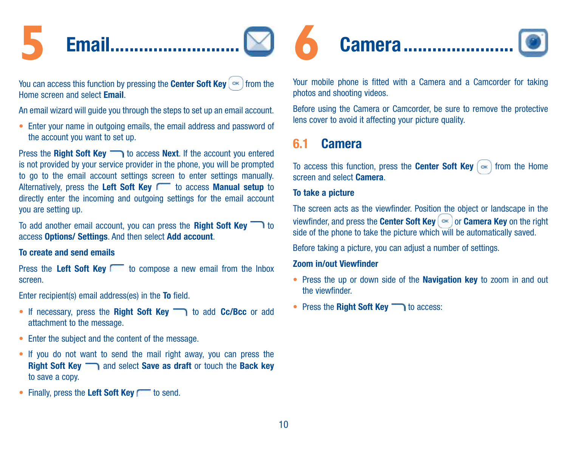# <span id="page-11-0"></span>**5** Email...........................

You can access this function by pressing the Center Soft Key  $\left( \infty \right)$  from the Home screen and select Email.

An email wizard will guide you through the steps to set up an email account.

• Enter your name in outgoing emails, the email address and password of the account you want to set up.

Press the Right Soft Key to access Next. If the account you entered is not provided by your service provider in the phone, you will be prompted to go to the email account settings screen to enter settings manually. Alternatively, press the Left Soft Key to access Manual setup to directly enter the incoming and outgoing settings for the email account you are setting up.

To add another email account, you can press the Right Soft Key  $\Box$  to access Options/ Settings. And then select Add account.

#### To create and send emails

Press the Left Soft Key to compose a new email from the Inbox screen.

Enter recipient(s) email address(es) in the To field.

- If necessary, press the Right Soft Key no add Cc/Bcc or add attachment to the message.
- Enter the subject and the content of the message.
- If you do not want to send the mail right away, you can press the Right Soft Key  $\Box$  and select Save as draft or touch the Back key to save a copy.
- Finally, press the Left Soft Key rote send.



Your mobile phone is fitted with a Camera and a Camcorder for taking photos and shooting videos.

Before using the Camera or Camcorder, be sure to remove the protective lens cover to avoid it affecting your picture quality.

## 6.1 Camera

To access this function, press the **Center Soft Key**  $\left( \infty \right)$  from the Home screen and select Camera.

#### To take a picture

The screen acts as the viewfinder. Position the object or landscape in the viewfinder, and press the Center Soft Key  $\left( \infty \right)$  or Camera Key on the right side of the phone to take the picture which will be automatically saved.

Before taking a picture, you can adjust a number of settings.

#### Zoom in/out Viewfinder

- Press the up or down side of the Navigation key to zoom in and out the viewfinder.
- Press the Right Soft Key no access: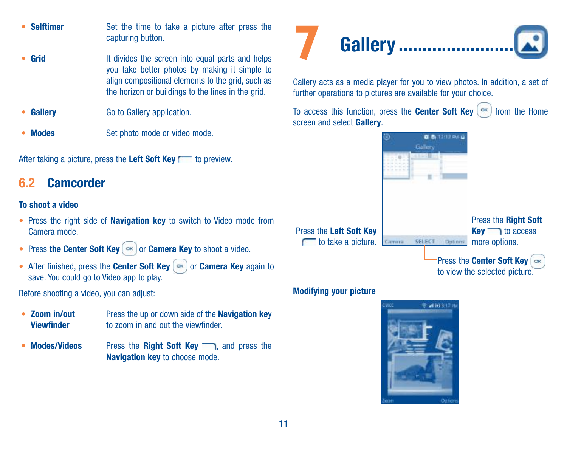- <span id="page-12-0"></span>• Selftimer Set the time to take a picture after press the capturing button.
- Grid It divides the screen into equal parts and helps you take better photos by making it simple to align compositional elements to the grid, such as the horizon or buildings to the lines in the grid.
- **Gallery Go to Gallery application.**
- Modes Set photo mode or video mode.

After taking a picture, press the Left Soft Key to preview.

## 6.2 Camcorder

#### To shoot a video

- Press the right side of Navigation key to switch to Video mode from Camera mode.
- Press the Center Soft Key  $\alpha$  or Camera Key to shoot a video.
- After finished, press the Center Soft Key  $\alpha$  or Camera Key again to save. You could go to Video app to play.

Before shooting a video, you can adjust:

- • Zoom in/out Viewfinder Press the up or down side of the Navigation key to zoom in and out the viewfinder.
- Modes/Videos Press the Right Soft Key and press the Navigation key to choose mode.



Gallery acts as a media player for you to view photos. In addition, a set of further operations to pictures are available for your choice.

To access this function, press the Center Soft Key  $(\infty)$  from the Home screen and select Gallery.



#### Modifying your picture

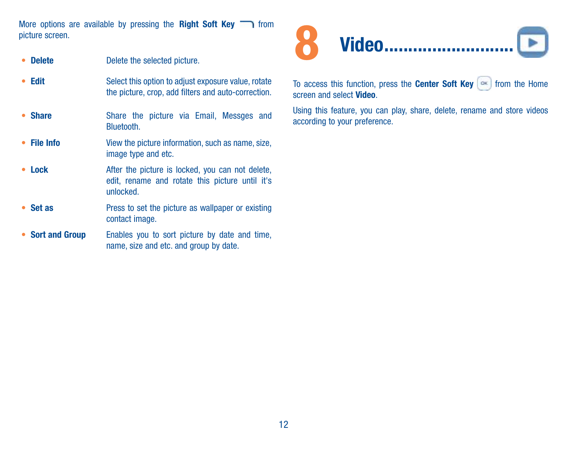<span id="page-13-0"></span>More options are available by pressing the Right Soft Key  $\Box$  from picture screen.

- **Delete Delete Delete** the selected picture.
- Edit Select this option to adjust exposure value, rotate the picture, crop, add filters and auto-correction.
- Share Share the picture via Email, Messges and Bluetooth.
- File Info View the picture information, such as name, size, image type and etc.
- Lock After the picture is locked, you can not delete, edit, rename and rotate this picture until it's unlocked.
- Set as Press to set the picture as wallpaper or existing contact image.
- Sort and Group Enables you to sort picture by date and time, name, size and etc. and group by date.



To access this function, press the **Center Soft Key**  $\infty$  from the Home screen and select Video.

Using this feature, you can play, share, delete, rename and store videos according to your preference.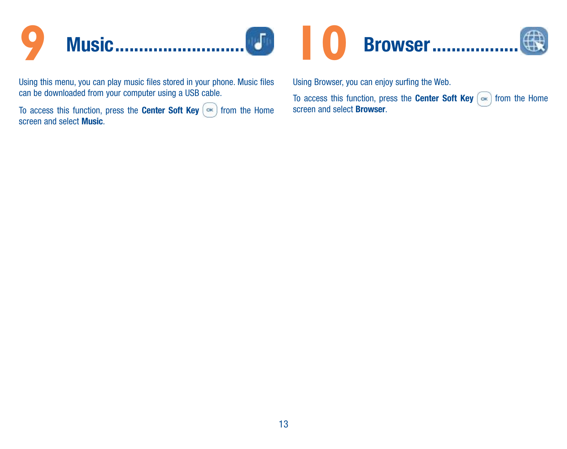<span id="page-14-0"></span>

Using this menu, you can play music files stored in your phone. Music files can be downloaded from your computer using a USB cable.

To access this function, press the **Center Soft Key**  $\left(\infty\right)$  from the Home screen and select Music.

Using Browser, you can enjoy surfing the Web.

To access this function, press the Center Soft Key  $\sim$  from the Home screen and select Browser.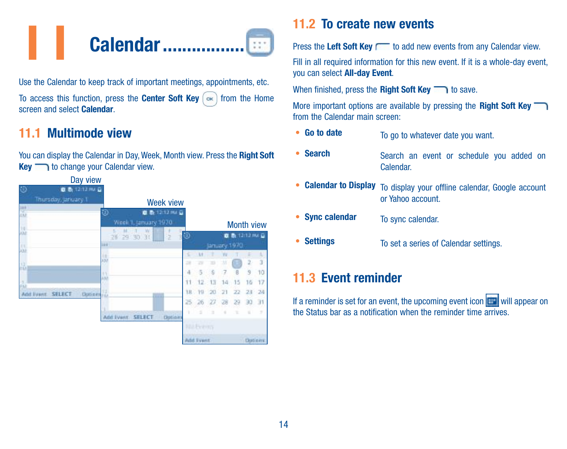<span id="page-15-0"></span>

Use the Calendar to keep track of important meetings, appointments, etc. To access this function, press the Center Soft Key  $\left( \infty \right)$  from the Home screen and select Calendar.

## 11.1 Multimode view

You can display the Calendar in Day, Week, Month view. Press the Right Soft Key to change your Calendar view.



## 11.2 To create new events

Press the Left Soft Key readd new events from any Calendar view.

Fill in all required information for this new event. If it is a whole-day event you can select All-day Event.

When finished, press the **Right Soft Key**  $\rightarrow$  to save.

More important options are available by pressing the Right Soft Key from the Calendar main screen:

- Go to date To go to whatever date you want.
- Search Search an event or schedule you added on Calendar.
- Calendar to Display To display your offline calendar, Google account or Yahoo account.
- Sync calendar To sync calendar.
- **Settings** To set a series of Calendar settings.

## 11.3 Event reminder

If a reminder is set for an event, the upcoming event icon  $\mathbb{H}$  will appear on the Status bar as a notification when the reminder time arrives.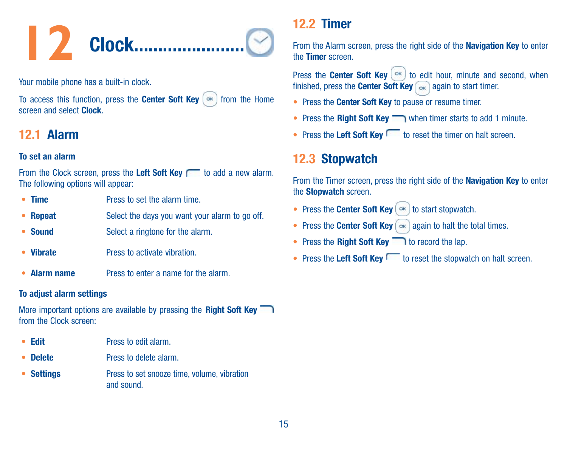<span id="page-16-0"></span>

Your mobile phone has a built-in clock.

To access this function, press the Center Soft Key  $\left( \infty \right)$  from the Home screen and select Clock.

## 12.1 Alarm

#### To set an alarm

From the Clock screen, press the Left Soft Key readd a new alarm. The following options will appear:

- **Time** Press to set the alarm time.
- **Repeat** Select the days you want your alarm to go off.
- **Sound** Select a ringtone for the alarm.
- Vibrate Press to activate vibration.
- Alarm name Press to enter a name for the alarm.

#### To adjust alarm settings

More important options are available by pressing the **Right Soft Key** from the Clock screen:

- **Edit** Press to edit alarm.
- **Delete** Press to delete alarm.
- Settings Press to set snooze time, volume, vibration and sound.

## 12.2 Timer

From the Alarm screen, press the right side of the Navigation Key to enter the Timer screen.

Press the Center Soft Key  $(\infty)$  to edit hour, minute and second, when finished, press the **Center Soft Key**  $\sim$  again to start timer.

- Press the Center Soft Key to pause or resume timer.
- Press the Right Soft Key when timer starts to add 1 minute.
- Press the Left Soft Key to reset the timer on halt screen.

## 12.3 Stopwatch

From the Timer screen, press the right side of the Navigation Key to enter the Stopwatch screen.

- Press the Center Soft Key  $\left( \infty \right)$  to start stopwatch.
- Press the Center Soft Key  $\sim$  again to halt the total times.
- Press the Right Soft Key  $\Box$  to record the lap.
- Press the Left Soft Key to reset the stopwatch on halt screen.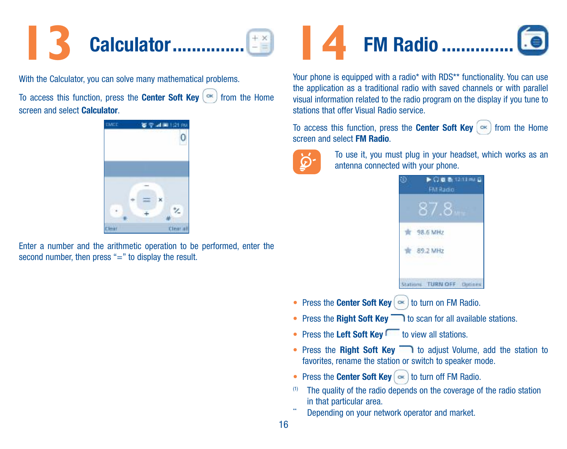<span id="page-17-0"></span>

With the Calculator, you can solve many mathematical problems.

To access this function, press the **Center Soft Key**  $(\infty)$  from the Home screen and select Calculator.



Enter a number and the arithmetic operation to be performed, enter the second number, then press "=" to display the result.



Your phone is equipped with a radio\* with RDS\*\* functionality. You can use the application as a traditional radio with saved channels or with parallel visual information related to the radio program on the display if you tune to stations that offer Visual Radio service.

To access this function, press the Center Soft Key  $\left( \infty \right)$  from the Home screen and select FM Radio.



To use it, you must plug in your headset, which works as an antenna connected with your phone.

| $\blacktriangleright$ $\bigcirc$ of the 12-13 PM $\sqcup$<br><b>FM Radio</b> |
|------------------------------------------------------------------------------|
|                                                                              |
| ONGO NASA SA PASA<br>98.6 MHz<br>a a she                                     |
| WANTERVEL<br>89.2 MI<br>-2260.47                                             |
| Jutions.                                                                     |

- Press the Center Soft Key  $(\infty)$  to turn on FM Radio.
- Press the Right Soft Key  $\Box$  to scan for all available stations.
- Press the Left Soft Key  $\Box$  to view all stations.
- Press the Right Soft Key to adjust Volume, add the station to favorites, rename the station or switch to speaker mode.
- Press the Center Soft Key  $\sim$  to turn off FM Radio.
- (1) The quality of the radio depends on the coverage of the radio station in that particular area.
- Depending on your network operator and market.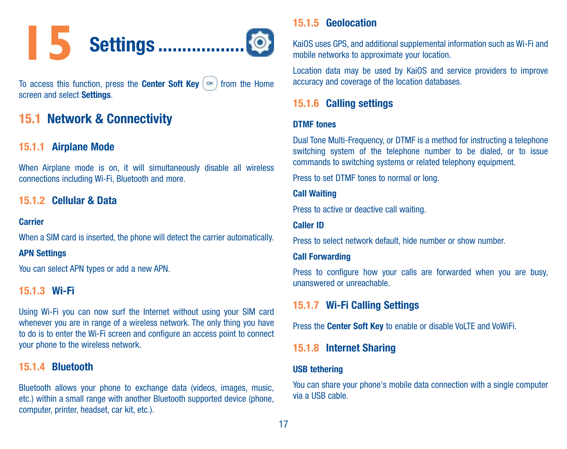<span id="page-18-0"></span>

To access this function, press the **Center Soft Key**  $\left[\infty\right]$  from the Home screen and select Settings.

## 15.1 Network & Connectivity

#### 15.1.1 Airplane Mode

When Airplane mode is on, it will simultaneously disable all wireless connections including Wi-Fi, Bluetooth and more.

#### 15.1.2 Cellular & Data

#### Carrier

When a SIM card is inserted, the phone will detect the carrier automatically.

#### APN Settings

You can select APN types or add a new APN.

#### 15.1.3 Wi-Fi

Using Wi-Fi you can now surf the Internet without using your SIM card whenever you are in range of a wireless network. The only thing you have to do is to enter the Wi-Fi screen and configure an access point to connect your phone to the wireless network.

#### 15.1.4 Bluetooth

Bluetooth allows your phone to exchange data (videos, images, music, etc.) within a small range with another Bluetooth supported device (phone, computer, printer, headset, car kit, etc.).

#### 15.1.5 Geolocation

KaiOS uses GPS, and additional supplemental information such as Wi-Fi and mobile networks to approximate your location.

Location data may be used by KaiOS and service providers to improve accuracy and coverage of the location databases.

#### 15.1.6 Calling settings

#### DTMF tones

Dual Tone Multi-Frequency, or DTMF is a method for instructing a telephone switching system of the telephone number to be dialed, or to issue commands to switching systems or related telephony equipment.

Press to set DTMF tones to normal or long.

#### Call Waiting

Press to active or deactive call waiting.

#### Caller ID

Press to select network default, hide number or show number.

#### Call Forwarding

Press to configure how your calls are forwarded when you are busy. unanswered or unreachable.

#### 15.1.7 Wi-Fi Calling Settings

Press the Center Soft Key to enable or disable VoLTE and VoWiFi.

#### 15.1.8 Internet Sharing

#### USB tethering

You can share your phone's mobile data connection with a single computer via a USB cable.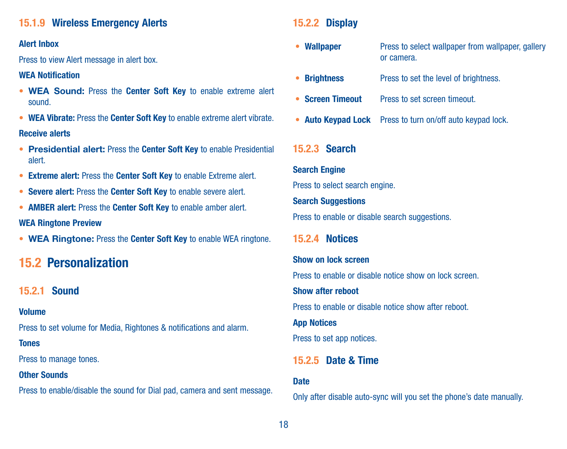#### <span id="page-19-0"></span>15.1.9 Wireless Emergency Alerts

#### Alert Inbox

Press to view Alert message in alert box.

#### WEA Notification

- WEA Sound: Press the Center Soft Key to enable extreme alert sound.
- WEA Vibrate: Press the Center Soft Key to enable extreme alert vibrate.

#### Receive alerts

- Presidential alert: Press the Center Soft Key to enable Presidential alert.
- Extreme alert: Press the Center Soft Key to enable Extreme alert.
- Severe alert: Press the Center Soft Key to enable severe alert.
- AMBER alert: Press the Center Soft Key to enable amber alert.

#### WEA Ringtone Preview

• WEA Ringtone: Press the Center Soft Key to enable WEA ringtone.

## 15.2 Personalization

#### 15.2.1 Sound

#### Volume

Press to set volume for Media, Rightones & notifications and alarm.

#### Tones

Press to manage tones.

#### **Other Sounds**

Press to enable/disable the sound for Dial pad, camera and sent message.

#### 15.2.2 Display

- Wallpaper Press to select wallpaper from wallpaper, gallery or camera.
- **Brightness** Press to set the level of brightness.
- Screen Timeout Press to set screen timeout
- Auto Keypad Lock Press to turn on/off auto keypad lock.

#### 15.2.3 Search

Search Engine Press to select search engine. **Search Suggestions** Press to enable or disable search suggestions.

#### 15.2.4 Notices

## Show on lock screen Press to enable or disable notice show on lock screen. Show after reboot Press to enable or disable notice show after reboot. App Notices Press to set app notices.

#### 15.2.5 Date & Time

#### **Date**

Only after disable auto-sync will you set the phone's date manually.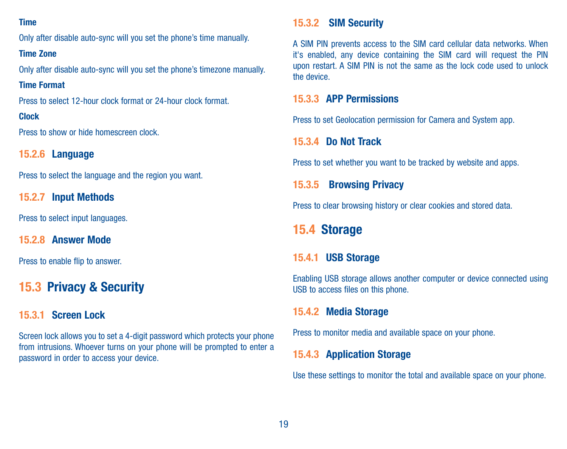#### <span id="page-20-0"></span>Time

Only after disable auto-sync will you set the phone's time manually.

#### Time Zone

Only after disable auto-sync will you set the phone's timezone manually.

#### Time Format

Press to select 12-hour clock format or 24-hour clock format.

#### Clock

Press to show or hide homescreen clock.

#### 15.2.6 Language

Press to select the language and the region you want.

#### 15.2.7 Input Methods

Press to select input languages.

15.2.8 Answer Mode

Press to enable flip to answer.

## 15.3 Privacy & Security

#### 15.3.1 Screen Lock

Screen lock allows you to set a 4-digit password which protects your phone from intrusions. Whoever turns on your phone will be prompted to enter a password in order to access your device.

#### 15.3.2 SIM Security

A SIM PIN prevents access to the SIM card cellular data networks. When it's enabled, any device containing the SIM card will request the PIN upon restart. A SIM PIN is not the same as the lock code used to unlock the device.

#### 15.3.3 APP Permissions

Press to set Geolocation permission for Camera and System app.

#### 15.3.4 Do Not Track

Press to set whether you want to be tracked by website and apps.

#### 15.3.5 Browsing Privacy

Press to clear browsing history or clear cookies and stored data.

## 15.4 Storage

#### 15.4.1 USB Storage

Enabling USB storage allows another computer or device connected using USB to access files on this phone.

#### 15.4.2 Media Storage

Press to monitor media and available space on your phone.

#### 15.4.3 Application Storage

Use these settings to monitor the total and available space on your phone.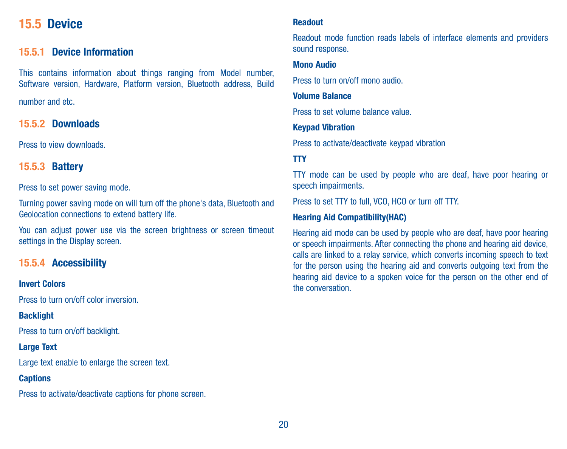## <span id="page-21-0"></span>15.5 Device

#### 15.5.1 Device Information

This contains information about things ranging from Model number, Software version, Hardware, Platform version, Bluetooth address, Build

number and etc.

15.5.2 Downloads

Press to view downloads.

#### 15.5.3 Battery

Press to set power saving mode.

Turning power saving mode on will turn off the phone's data, Bluetooth and Geolocation connections to extend battery life.

You can adjust power use via the screen brightness or screen timeout settings in the Display screen.

#### 15.5.4 Accessibility

#### Invert Colors

Press to turn on/off color inversion.

#### Backlight

Press to turn on/off backlight.

#### Large Text

Large text enable to enlarge the screen text.

#### **Captions**

Press to activate/deactivate captions for phone screen.

#### Readout

Readout mode function reads labels of interface elements and providers sound response.

#### Mono Audio

Press to turn on/off mono audio.

#### Volume Balance

Press to set volume balance value.

#### Keypad Vibration

Press to activate/deactivate keypad vibration

#### TTY

TTY mode can be used by people who are deaf, have poor hearing or speech impairments.

Press to set TTV to full, VCO, HCO or turn off TTV.

#### Hearing Aid Compatibility(HAC)

Hearing aid mode can be used by people who are deaf, have poor hearing or speech impairments. After connecting the phone and hearing aid device, calls are linked to a relay service, which converts incoming speech to text for the person using the hearing aid and converts outgoing text from the hearing aid device to a spoken voice for the person on the other end of the conversation.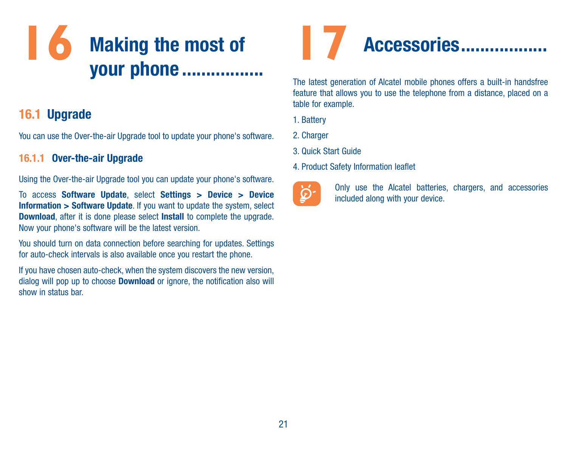## <span id="page-22-0"></span>**16** Making the most of your phone .................

## 16.1 Upgrade

You can use the Over-the-air Upgrade tool to update your phone's software.

#### 16.1.1 Over-the-air Upgrade

Using the Over-the-air Upgrade tool you can update your phone's software.

To access Software Update, select Settings > Device > Device Information > Software Update. If you want to update the system, select Download, after it is done please select Install to complete the upgrade. Now your phone's software will be the latest version.

You should turn on data connection before searching for updates. Settings for auto-check intervals is also available once you restart the phone.

If you have chosen auto-check, when the system discovers the new version, dialog will pop up to choose **Download** or ignore, the notification also will show in status bar.



The latest generation of Alcatel mobile phones offers a built-in handsfree feature that allows you to use the telephone from a distance, placed on a table for example.

- 1. Battery
- 2. Charger
- 3. Quick Start Guide
- 4. Product Safety Information leaflet



Only use the Alcatel batteries, chargers, and accessories included along with your device.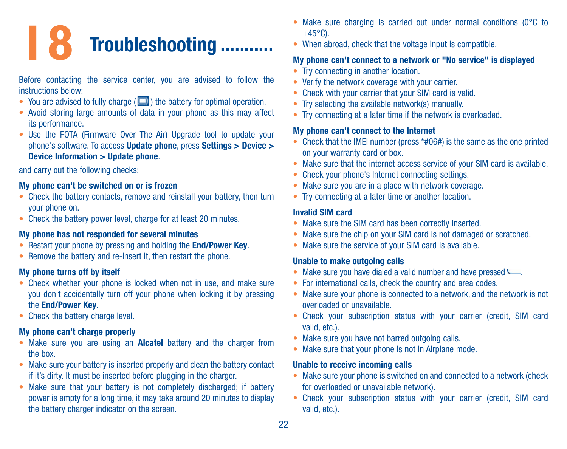# <span id="page-23-0"></span>**18** Troubleshooting ...........

#### Before contacting the service center, you are advised to follow the instructions below:

- You are advised to fully charge  $(\Box)$  the battery for optimal operation.
- Avoid storing large amounts of data in your phone as this may affect its performance.
- Use the FOTA (Firmware Over The Air) Upgrade tool to update your phone's software. To access Update phone, press Settings > Device > Device Information > Update phone.

and carry out the following checks:

#### My phone can't be switched on or is frozen

- Check the battery contacts, remove and reinstall your battery, then turn your phone on.
- Check the battery power level, charge for at least 20 minutes.

#### My phone has not responded for several minutes

- Restart your phone by pressing and holding the End/Power Key.
- Remove the battery and re-insert it, then restart the phone.

#### My phone turns off by itself

- Check whether your phone is locked when not in use, and make sure you don't accidentally turn off your phone when locking it by pressing the End/Power Key.
- Check the battery charge level.

#### My phone can't charge properly

- Make sure you are using an **Alcatel** battery and the charger from the box.
- Make sure your battery is inserted properly and clean the battery contact if it's dirty. It must be inserted before plugging in the charger.
- Make sure that your battery is not completely discharged; if battery power is empty for a long time, it may take around 20 minutes to display the battery charger indicator on the screen.
- Make sure charging is carried out under normal conditions (0°C to  $+45^{\circ}$ C).
- When abroad, check that the voltage input is compatible.

#### My phone can't connect to a network or "No service" is displayed

- Try connecting in another location.
- Verify the network coverage with your carrier.
- Check with your carrier that your SIM card is valid.
- Try selecting the available network(s) manually.
- Try connecting at a later time if the network is overloaded.

#### My phone can't connect to the Internet

- Check that the IMEI number (press \*#06#) is the same as the one printed on your warranty card or box.
- Make sure that the internet access service of your SIM card is available.
- Check your phone's Internet connecting settings.
- Make sure you are in a place with network coverage.
- Try connecting at a later time or another location.

#### Invalid SIM card

- Make sure the SIM card has been correctly inserted.
- Make sure the chip on your SIM card is not damaged or scratched.
- Make sure the service of your SIM card is available.

#### Unable to make outgoing calls

- • Make sure you have dialed a valid number and have pressed .
- For international calls, check the country and area codes.
- Make sure your phone is connected to a network, and the network is not overloaded or unavailable.
- • Check your subscription status with your carrier (credit, SIM card valid, etc.).
- Make sure you have not barred outgoing calls.
- Make sure that your phone is not in Airplane mode.

#### Unable to receive incoming calls

- Make sure your phone is switched on and connected to a network (check for overloaded or unavailable network).
- Check your subscription status with your carrier (credit, SIM card valid, etc.).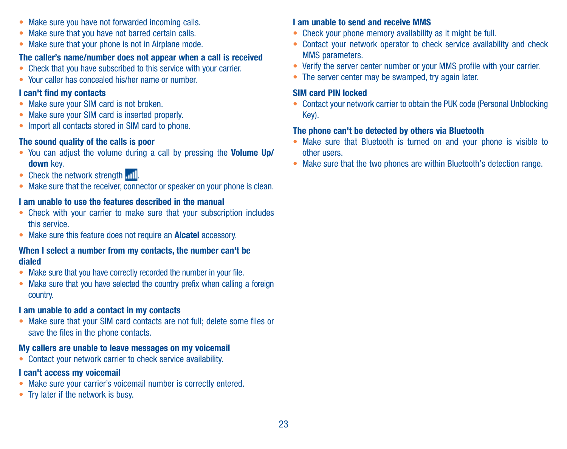- Make sure you have not forwarded incoming calls.
- Make sure that you have not barred certain calls.
- Make sure that your phone is not in Airplane mode.

#### The caller's name/number does not appear when a call is received

- Check that you have subscribed to this service with your carrier.
- • Your caller has concealed his/her name or number.

#### I can't find my contacts

- Make sure your SIM card is not broken.
- Make sure your SIM card is inserted properly.
- Import all contacts stored in SIM card to phone.

#### The sound quality of the calls is poor

- You can adjust the volume during a call by pressing the Volume Up/ down key.
- Check the network strength ...
- Make sure that the receiver, connector or speaker on your phone is clean.

#### I am unable to use the features described in the manual

- Check with your carrier to make sure that your subscription includes this service.
- Make sure this feature does not require an Alcatel accessory.

#### When I select a number from my contacts, the number can't be dialed

- Make sure that you have correctly recorded the number in your file.
- Make sure that you have selected the country prefix when calling a foreign country.

#### I am unable to add a contact in my contacts

• Make sure that your SIM card contacts are not full; delete some files or save the files in the phone contacts.

#### My callers are unable to leave messages on my voicemail

• Contact your network carrier to check service availability.

#### I can't access my voicemail

- Make sure your carrier's voicemail number is correctly entered.
- Try later if the network is busy.

#### I am unable to send and receive MMS

- Check your phone memory availability as it might be full.
- Contact your network operator to check service availability and check MMS parameters.
- Verify the server center number or your MMS profile with your carrier.
- The server center may be swamped, try again later.

#### SIM card PIN locked

• Contact your network carrier to obtain the PUK code (Personal Unblocking Key).

#### The phone can't be detected by others via Bluetooth

- Make sure that Bluetooth is turned on and your phone is visible to other users.
- Make sure that the two phones are within Bluetooth's detection range.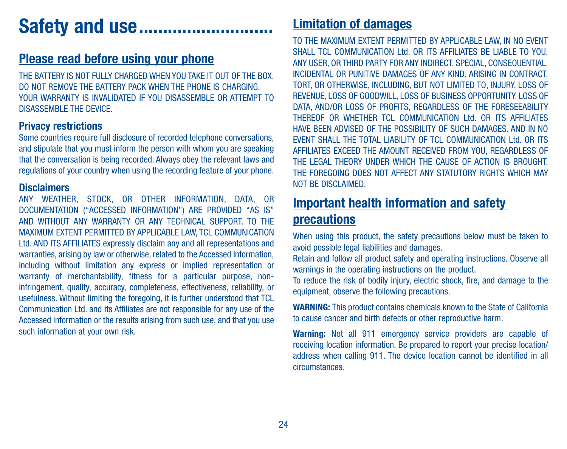## <span id="page-25-0"></span>Safety and use.

## Please read before using your phone

THE BATTERY IS NOT FULLY CHARGED WHEN YOU TAKE IT OUT OF THE BOY. DO NOT REMOVE THE BATTERY PACK WHEN THE PHONE IS CHARGING. YOUR WARRANTY IS INVALIDATED IF YOU DISASSEMBLE OR ATTEMPT TO DISASSEMBLE THE DEVICE.

#### Privacy restrictions

Some countries require full disclosure of recorded telephone conversations. and stipulate that you must inform the person with whom you are speaking that the conversation is being recorded. Always obey the relevant laws and regulations of your country when using the recording feature of your phone.

#### **Disclaimers**

ANY WEATHER, STOCK, OR OTHER INFORMATION, DATA, OR DOCUMENTATION ("ACCESSED INFORMATION") ARE PROVIDED "AS IS" AND WITHOUT ANY WARRANTY OR ANY TECHNICAL SUPPORT. TO THE MAXIMUM EXTENT PERMITTED BY APPLICABLE LAW, TCL COMMUNICATION Ltd. AND ITS AFFILIATES expressly disclaim any and all representations and warranties, arising by law or otherwise, related to the Accessed Information, including without limitation any express or implied representation or warranty of merchantability, fitness for a particular purpose, noninfringement, quality, accuracy, completeness, effectiveness, reliability, or usefulness. Without limiting the foregoing, it is further understood that TCL Communication Ltd. and its Affiliates are not responsible for any use of the Accessed Information or the results arising from such use, and that you use such information at your own risk.

## Limitation of damages

TO THE MAXIMUM EXTENT PERMITTED BY APPLICABLE LAW, IN NO EVENT SHALL TCL COMMUNICATION Ltd. OR ITS AFFILIATES BE LIABLE TO YOU. ANY USER, OR THIRD PARTY FOR ANY INDIRECT, SPECIAL, CONSEQUENTIAL, INCIDENTAL OR PUNITIVE DAMAGES OF ANY KIND, ARISING IN CONTRACT, TORT, OR OTHERWISE, INCLUDING, BUT NOT LIMITED TO, INJURY, LOSS OF REVENUE, LOSS OF GOODWILL, LOSS OF BUSINESS OPPORTUNITY LOSS OF DATA, AND/OR LOSS OF PROFITS, REGARDLESS OF THE FORESEEABILITY THEREOF OR WHETHER TCL COMMUNICATION Ltd. OR ITS AFFILIATES HAVE BEEN ADVISED OF THE POSSIBILITY OF SUCH DAMAGES. AND IN NO EVENT SHALL THE TOTAL LIABILITY OF TCL COMMUNICATION Ltd. OR ITS AFFILIATES EXCEED THE AMOUNT RECEIVED FROM YOU, REGARDLESS OF THE LEGAL THEORY UNDER WHICH THE CAUSE OF ACTION IS BROUGHT. THE FOREGOING DOES NOT AFFECT ANY STATUTORY RIGHTS WHICH MAY NOT BE DISCLAIMED.

## Important health information and safety precautions

When using this product, the safety precautions below must be taken to avoid possible legal liabilities and damages.

Retain and follow all product safety and operating instructions. Observe all warnings in the operating instructions on the product.

To reduce the risk of bodily injury, electric shock, fire, and damage to the equipment, observe the following precautions.

WARNING: This product contains chemicals known to the State of California to cause cancer and birth defects or other reproductive harm.

Warning: Not all 911 emergency service providers are capable of receiving location information. Be prepared to report your precise location/ address when calling 911. The device location cannot be identified in all circumstances.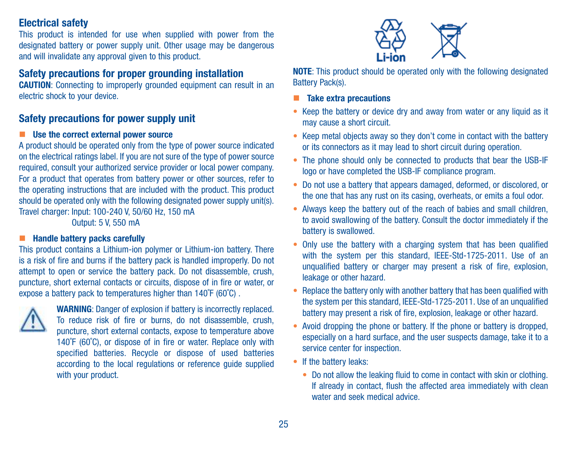#### Electrical safety

This product is intended for use when supplied with power from the designated battery or power supply unit. Other usage may be dangerous and will invalidate any approval given to this product.

#### Safety precautions for proper grounding installation

CAUTION: Connecting to improperly grounded equipment can result in an electric shock to your device.

#### Safety precautions for power supply unit

#### ■ Use the correct external power source

A product should be operated only from the type of power source indicated on the electrical ratings label. If you are not sure of the type of power source required, consult your authorized service provider or local power company. For a product that operates from battery power or other sources, refer to the operating instructions that are included with the product. This product should be operated only with the following designated power supply unit(s). Travel charger: Input: 100-240 V, 50/60 Hz, 150 mA

Output: 5 V, 550 mA

#### **Handle battery packs carefully**

This product contains a Lithium-ion polymer or Lithium-ion battery. There is a risk of fire and burns if the battery pack is handled improperly. Do not attempt to open or service the battery pack. Do not disassemble, crush, puncture, short external contacts or circuits, dispose of in fire or water, or expose a battery pack to temperatures higher than 140˚F (60˚C) .



WARNING: Danger of explosion if battery is incorrectly replaced. To reduce risk of fire or burns, do not disassemble, crush, puncture, short external contacts, expose to temperature above 140˚F (60˚C), or dispose of in fire or water. Replace only with specified batteries. Recycle or dispose of used batteries according to the local regulations or reference guide supplied with your product.



NOTE: This product should be operated only with the following designated Battery Pack(s).

- **Take extra precautions**
- Keep the battery or device dry and away from water or any liquid as it may cause a short circuit.
- Keep metal objects away so they don't come in contact with the battery or its connectors as it may lead to short circuit during operation.
- The phone should only be connected to products that bear the USB-IF logo or have completed the USB-IF compliance program.
- Do not use a battery that appears damaged, deformed, or discolored, or the one that has any rust on its casing, overheats, or emits a foul odor.
- Always keep the battery out of the reach of babies and small children, to avoid swallowing of the battery. Consult the doctor immediately if the battery is swallowed.
- Only use the battery with a charging system that has been qualified with the system per this standard, IEEE-Std-1725-2011. Use of an unqualified battery or charger may present a risk of fire, explosion, leakage or other hazard.
- Replace the battery only with another battery that has been qualified with the system per this standard, IEEE-Std-1725-2011. Use of an unqualified battery may present a risk of fire, explosion, leakage or other hazard.
- Avoid dropping the phone or battery. If the phone or battery is dropped, especially on a hard surface, and the user suspects damage, take it to a service center for inspection.
- If the battery leaks:
	- Do not allow the leaking fluid to come in contact with skin or clothing. If already in contact, flush the affected area immediately with clean water and seek medical advice.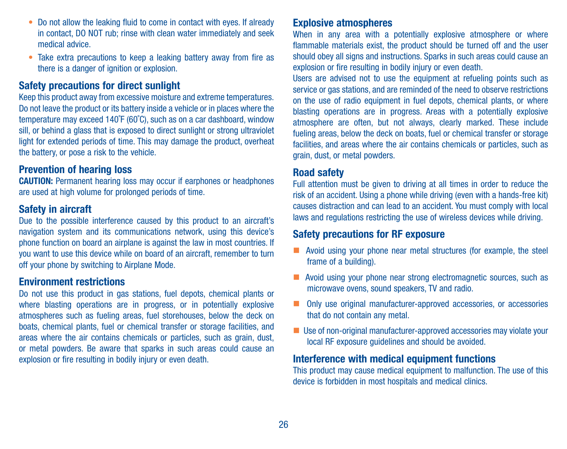- Do not allow the leaking fluid to come in contact with eyes. If already in contact, DO NOT rub; rinse with clean water immediately and seek medical advice.
- Take extra precautions to keep a leaking battery away from fire as there is a danger of ignition or explosion.

#### Safety precautions for direct sunlight

Keep this product away from excessive moisture and extreme temperatures. Do not leave the product or its battery inside a vehicle or in places where the temperature may exceed 140˚F (60˚C), such as on a car dashboard, window sill, or behind a glass that is exposed to direct sunlight or strong ultraviolet light for extended periods of time. This may damage the product, overheat the battery, or pose a risk to the vehicle.

#### Prevention of hearing loss

CAUTION: Permanent hearing loss may occur if earphones or headphones are used at high volume for prolonged periods of time.

#### Safety in aircraft

Due to the possible interference caused by this product to an aircraft's navigation system and its communications network, using this device's phone function on board an airplane is against the law in most countries. If you want to use this device while on board of an aircraft, remember to turn off your phone by switching to Airplane Mode.

#### Environment restrictions

Do not use this product in gas stations, fuel depots, chemical plants or where blasting operations are in progress, or in potentially explosive atmospheres such as fueling areas, fuel storehouses, below the deck on boats, chemical plants, fuel or chemical transfer or storage facilities, and areas where the air contains chemicals or particles, such as grain, dust, or metal powders. Be aware that sparks in such areas could cause an explosion or fire resulting in bodily injury or even death.

#### Explosive atmospheres

When in any area with a potentially explosive atmosphere or where flammable materials exist, the product should be turned off and the user should obey all signs and instructions. Sparks in such areas could cause an explosion or fire resulting in bodily injury or even death.

Users are advised not to use the equipment at refueling points such as service or gas stations, and are reminded of the need to observe restrictions on the use of radio equipment in fuel depots, chemical plants, or where blasting operations are in progress. Areas with a potentially explosive atmosphere are often, but not always, clearly marked. These include fueling areas, below the deck on boats, fuel or chemical transfer or storage facilities, and areas where the air contains chemicals or particles, such as grain, dust, or metal powders.

#### Road safety

Full attention must be given to driving at all times in order to reduce the risk of an accident. Using a phone while driving (even with a hands-free kit) causes distraction and can lead to an accident. You must comply with local laws and regulations restricting the use of wireless devices while driving.

#### Safety precautions for RF exposure

- Avoid using your phone near metal structures (for example, the steel frame of a building).
- Avoid using your phone near strong electromagnetic sources, such as microwave ovens, sound speakers, TV and radio.
- Only use original manufacturer-approved accessories, or accessories that do not contain any metal.
- Use of non-original manufacturer-approved accessories may violate your local RF exposure guidelines and should be avoided.

#### Interference with medical equipment functions

This product may cause medical equipment to malfunction. The use of this device is forbidden in most hospitals and medical clinics.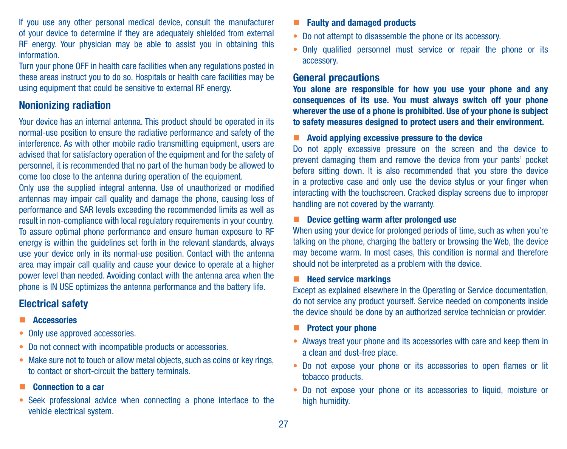If you use any other personal medical device, consult the manufacturer of your device to determine if they are adequately shielded from external RF energy. Your physician may be able to assist you in obtaining this information.

Turn your phone OFF in health care facilities when any regulations posted in these areas instruct you to do so. Hospitals or health care facilities may be using equipment that could be sensitive to external RF energy.

#### Nonionizing radiation

Your device has an internal antenna. This product should be operated in its normal-use position to ensure the radiative performance and safety of the interference. As with other mobile radio transmitting equipment, users are advised that for satisfactory operation of the equipment and for the safety of personnel, it is recommended that no part of the human body be allowed to come too close to the antenna during operation of the equipment.

Only use the supplied integral antenna. Use of unauthorized or modified antennas may impair call quality and damage the phone, causing loss of performance and SAR levels exceeding the recommended limits as well as result in non-compliance with local regulatory requirements in your country. To assure optimal phone performance and ensure human exposure to RF energy is within the guidelines set forth in the relevant standards, always use your device only in its normal-use position. Contact with the antenna area may impair call quality and cause your device to operate at a higher power level than needed. Avoiding contact with the antenna area when the phone is IN USE optimizes the antenna performance and the battery life.

#### Electrical safety

- **Accessories**
- Only use approved accessories.
- Do not connect with incompatible products or accessories.
- Make sure not to touch or allow metal objects, such as coins or key rings, to contact or short-circuit the battery terminals.
- **Connection to a car**
- Seek professional advice when connecting a phone interface to the vehicle electrical system.
- **Faulty and damaged products**
- Do not attempt to disassemble the phone or its accessory.
- Only qualified personnel must service or repair the phone or its accessory.

#### General precautions

You alone are responsible for how you use your phone and any consequences of its use. You must always switch off your phone wherever the use of a phone is prohibited. Use of your phone is subject to safety measures designed to protect users and their environment.

#### $\blacksquare$  Avoid applying excessive pressure to the device

Do not apply excessive pressure on the screen and the device to prevent damaging them and remove the device from your pants' pocket before sitting down. It is also recommended that you store the device in a protective case and only use the device stylus or your finger when interacting with the touchscreen. Cracked display screens due to improper handling are not covered by the warranty.

#### ■ Device getting warm after prolonged use

When using your device for prolonged periods of time, such as when you're talking on the phone, charging the battery or browsing the Web, the device may become warm. In most cases, this condition is normal and therefore should not be interpreted as a problem with the device.

#### $H$  Heed service markings

Except as explained elsewhere in the Operating or Service documentation, do not service any product yourself. Service needed on components inside the device should be done by an authorized service technician or provider.

#### Protect your phone

- Always treat your phone and its accessories with care and keep them in a clean and dust-free place.
- Do not expose your phone or its accessories to open flames or lit tobacco products.
- Do not expose your phone or its accessories to liquid, moisture or high humidity.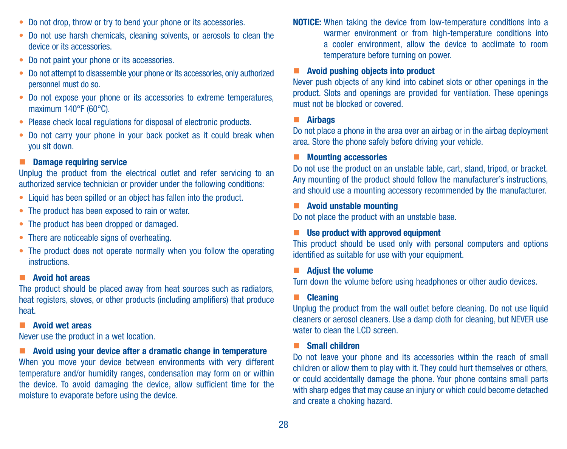- Do not drop, throw or try to bend your phone or its accessories.
- Do not use harsh chemicals, cleaning solvents, or aerosols to clean the device or its accessories.
- Do not paint your phone or its accessories.
- Do not attempt to disassemble your phone or its accessories, only authorized personnel must do so.
- Do not expose your phone or its accessories to extreme temperatures, maximum 140°F (60°C).
- Please check local regulations for disposal of electronic products.
- Do not carry your phone in your back pocket as it could break when you sit down.

#### Damage requiring service

Unplug the product from the electrical outlet and refer servicing to an authorized service technician or provider under the following conditions:

- Liquid has been spilled or an object has fallen into the product.
- The product has been exposed to rain or water.
- The product has been dropped or damaged.
- There are noticeable signs of overheating.
- The product does not operate normally when you follow the operating **instructions**

#### **Avoid hot areas**

The product should be placed away from heat sources such as radiators, heat registers, stoves, or other products (including amplifiers) that produce heat.

#### **Avoid wet areas**

Never use the product in a wet location.

#### **Avoid using your device after a dramatic change in temperature**

When you move your device between environments with very different temperature and/or humidity ranges, condensation may form on or within the device. To avoid damaging the device, allow sufficient time for the moisture to evaporate before using the device.

NOTICE: When taking the device from low-temperature conditions into a warmer environment or from high-temperature conditions into a cooler environment, allow the device to acclimate to room temperature before turning on power.

#### **Avoid pushing objects into product**

Never push objects of any kind into cabinet slots or other openings in the product. Slots and openings are provided for ventilation. These openings must not be blocked or covered.

#### **E** Airbags

Do not place a phone in the area over an airbag or in the airbag deployment area. Store the phone safely before driving your vehicle.

#### Mounting accessories

Do not use the product on an unstable table, cart, stand, tripod, or bracket. Any mounting of the product should follow the manufacturer's instructions and should use a mounting accessory recommended by the manufacturer.

#### $\blacksquare$  Avoid unstable mounting

Do not place the product with an unstable base.

#### Use product with approved equipment

This product should be used only with personal computers and options identified as suitable for use with your equipment.

#### **Adjust the volume**

Turn down the volume before using headphones or other audio devices.

#### **E** Cleaning

Unplug the product from the wall outlet before cleaning. Do not use liquid cleaners or aerosol cleaners. Use a damp cloth for cleaning, but NEVER use water to clean the LCD screen.

#### Small children

Do not leave your phone and its accessories within the reach of small children or allow them to play with it. They could hurt themselves or others, or could accidentally damage the phone. Your phone contains small parts with sharp edges that may cause an injury or which could become detached and create a choking hazard.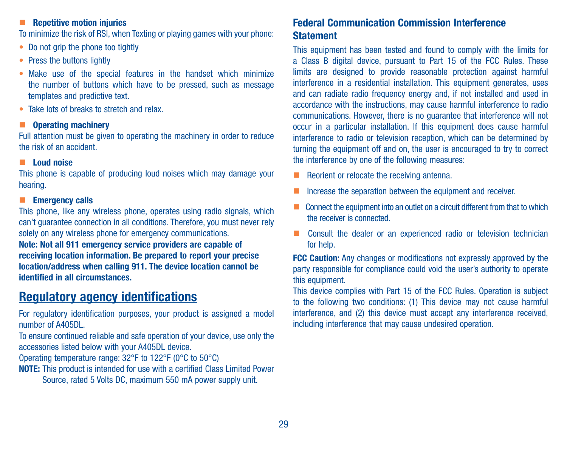#### **Repetitive motion injuries**

To minimize the risk of RSI, when Texting or playing games with your phone:

- Do not grip the phone too tightly
- Press the buttons lightly
- Make use of the special features in the handset which minimize the number of buttons which have to be pressed, such as message templates and predictive text.
- Take lots of breaks to stretch and relay.

#### ■ Operating machinery

Full attention must be given to operating the machinery in order to reduce the risk of an accident.

#### **Loud noise**

This phone is capable of producing loud noises which may damage your hearing.

#### **Emergency calls**

This phone, like any wireless phone, operates using radio signals, which can't guarantee connection in all conditions. Therefore, you must never rely solely on any wireless phone for emergency communications.

Note: Not all 911 emergency service providers are capable of receiving location information. Be prepared to report your precise location/address when calling 911. The device location cannot be identified in all circumstances.

## Regulatory agency identifications

For regulatory identification purposes, your product is assigned a model number of A405DL.

To ensure continued reliable and safe operation of your device, use only the accessories listed below with your A405DL device.

Operating temperature range: 32°F to 122°F (0°C to 50°C)

NOTE: This product is intended for use with a certified Class Limited Power Source, rated 5 Volts DC, maximum 550 mA power supply unit.

#### Federal Communication Commission Interference **Statement**

This equipment has been tested and found to comply with the limits for a Class B digital device, pursuant to Part 15 of the FCC Rules. These limits are designed to provide reasonable protection against harmful interference in a residential installation. This equipment generates, uses and can radiate radio frequency energy and, if not installed and used in accordance with the instructions, may cause harmful interference to radio communications. However, there is no guarantee that interference will not occur in a particular installation. If this equipment does cause harmful interference to radio or television reception, which can be determined by turning the equipment off and on, the user is encouraged to try to correct the interference by one of the following measures:

- Reorient or relocate the receiving antenna.
- Increase the separation between the equipment and receiver.
- $\blacksquare$  Connect the equipment into an outlet on a circuit different from that to which the receiver is connected.
- Consult the dealer or an experienced radio or television technician for help.

FCC Caution: Any changes or modifications not expressly approved by the party responsible for compliance could void the user's authority to operate this equipment.

This device complies with Part 15 of the FCC Rules. Operation is subject to the following two conditions: (1) This device may not cause harmful interference, and (2) this device must accept any interference received, including interference that may cause undesired operation.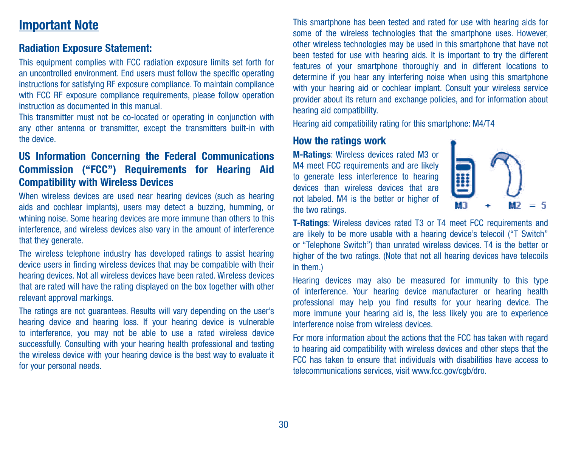## Important Note

#### Radiation Exposure Statement:

This equipment complies with FCC radiation exposure limits set forth for an uncontrolled environment. End users must follow the specific operating instructions for satisfying RF exposure compliance. To maintain compliance with FCC RF exposure compliance requirements, please follow operation instruction as documented in this manual.

This transmitter must not be co-located or operating in conjunction with any other antenna or transmitter, except the transmitters built-in with the device.

#### US Information Concerning the Federal Communications Commission ("FCC") Requirements for Hearing Aid Compatibility with Wireless Devices

When wireless devices are used near hearing devices (such as hearing aids and cochlear implants), users may detect a buzzing, humming, or whining noise. Some hearing devices are more immune than others to this interference, and wireless devices also vary in the amount of interference that they generate.

The wireless telephone industry has developed ratings to assist hearing device users in finding wireless devices that may be compatible with their hearing devices. Not all wireless devices have been rated. Wireless devices that are rated will have the rating displayed on the box together with other relevant approval markings.

The ratings are not guarantees. Results will vary depending on the user's hearing device and hearing loss. If your hearing device is vulnerable to interference, you may not be able to use a rated wireless device successfully. Consulting with your hearing health professional and testing the wireless device with your hearing device is the best way to evaluate it for your personal needs.

This smartphone has been tested and rated for use with hearing aids for some of the wireless technologies that the smartphone uses. However, other wireless technologies may be used in this smartphone that have not been tested for use with hearing aids. It is important to try the different features of your smartphone thoroughly and in different locations to determine if you hear any interfering noise when using this smartphone with your hearing aid or cochlear implant. Consult your wireless service provider about its return and exchange policies, and for information about hearing aid compatibility.

Hearing aid compatibility rating for this smartphone: M4/T4

#### How the ratings work

M-Ratings: Wireless devices rated M3 or M4 meet FCC requirements and are likely to generate less interference to hearing devices than wireless devices that are not labeled. M4 is the better or higher of the two ratings.



T-Ratings: Wireless devices rated T3 or T4 meet FCC requirements and are likely to be more usable with a hearing device's telecoil ("T Switch" or "Telephone Switch") than unrated wireless devices. T4 is the better or higher of the two ratings. (Note that not all hearing devices have telecoils in them.)

Hearing devices may also be measured for immunity to this type of interference. Your hearing device manufacturer or hearing health professional may help you find results for your hearing device. The more immune your hearing aid is, the less likely you are to experience interference noise from wireless devices.

For more information about the actions that the FCC has taken with regard to hearing aid compatibility with wireless devices and other steps that the FCC has taken to ensure that individuals with disabilities have access to telecommunications services, visit www.fcc.gov/cgb/dro.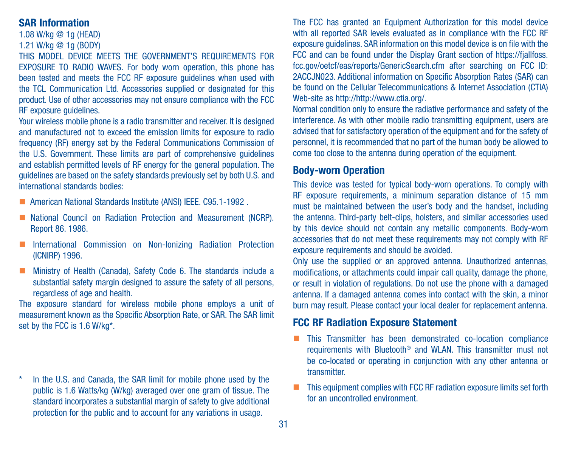#### SAR Information

1.08 W/kg @ 1g (HEAD)

#### 1.21 W/kg @ 1g (BODY)

THIS MODEL DEVICE MEETS THE GOVERNMENT'S REQUIREMENTS FOR EXPOSURE TO RADIO WAVES. For body worn operation, this phone has been tested and meets the FCC RF exposure guidelines when used with the TCL Communication Ltd. Accessories supplied or designated for this product. Use of other accessories may not ensure compliance with the FCC RF exposure guidelines.

Your wireless mobile phone is a radio transmitter and receiver. It is designed and manufactured not to exceed the emission limits for exposure to radio frequency (RF) energy set by the Federal Communications Commission of the U.S. Government. These limits are part of comprehensive guidelines and establish permitted levels of RF energy for the general population. The guidelines are based on the safety standards previously set by both U.S. and international standards bodies:

- American National Standards Institute (ANSI) IEEE. C95.1-1992 .
- National Council on Radiation Protection and Measurement (NCRP). Report 86. 1986.
- **International Commission on Non-Ionizing Radiation Protection** (ICNIRP) 1996.
- **Ministry of Health (Canada), Safety Code 6. The standards include a** substantial safety margin designed to assure the safety of all persons. regardless of age and health.

The exposure standard for wireless mobile phone employs a unit of measurement known as the Specific Absorption Rate, or SAR. The SAR limit set by the FCC is 1.6 W/kg\*.

\* In the U.S. and Canada, the SAR limit for mobile phone used by the public is 1.6 Watts/kg (W/kg) averaged over one gram of tissue. The standard incorporates a substantial margin of safety to give additional protection for the public and to account for any variations in usage.

The FCC has granted an Equipment Authorization for this model device with all reported SAR levels evaluated as in compliance with the FCC RF exposure guidelines. SAR information on this model device is on file with the FCC and can be found under the Display Grant section of https://fiallfoss. fcc.gov/oetcf/eas/reports/GenericSearch.cfm after searching on FCC ID: 2ACCJN023. Additional information on Specific Absorption Rates (SAR) can be found on the Cellular Telecommunications & Internet Association (CTIA) Web-site as http://http://www.ctia.org/.

Normal condition only to ensure the radiative performance and safety of the interference. As with other mobile radio transmitting equipment, users are advised that for satisfactory operation of the equipment and for the safety of personnel, it is recommended that no part of the human body be allowed to come too close to the antenna during operation of the equipment.

#### Body-worn Operation

This device was tested for typical body-worn operations. To comply with RF exposure requirements, a minimum separation distance of 15 mm must be maintained between the user's body and the handset, including the antenna. Third-party belt-clips, holsters, and similar accessories used by this device should not contain any metallic components. Body-worn accessories that do not meet these requirements may not comply with RF exposure requirements and should be avoided.

Only use the supplied or an approved antenna. Unauthorized antennas, modifications, or attachments could impair call quality, damage the phone, or result in violation of regulations. Do not use the phone with a damaged antenna. If a damaged antenna comes into contact with the skin, a minor burn may result. Please contact your local dealer for replacement antenna.

#### FCC RF Radiation Exposure Statement

- **This Transmitter has been demonstrated co-location compliance** requirements with Bluetooth® and WLAN. This transmitter must not be co-located or operating in conjunction with any other antenna or transmitter.
- This equipment complies with FCC RF radiation exposure limits set forth for an uncontrolled environment.